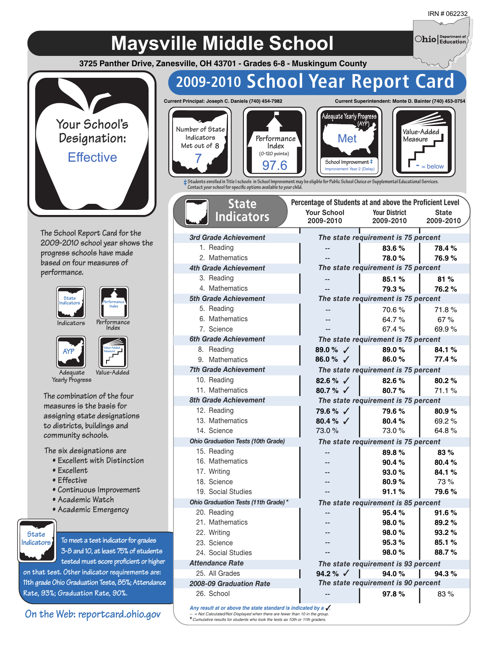$\bigcirc$ hio $\big|_\text{Education}^\text{Department of}$ 

# **Maysville Middle School**

**3725 Panther Drive, Zanesville, OH 43701 - Grades 6-8 - Muskingum County**



**The School Report Card for the 2009-2010 school year shows the progress schools have made based on four measures of performance.**





**Performance Indicators Performa**<br>**Index** 

**AYP**



**Adequate Value-Added Yearly Progress**

**The combination of the four measures is the basis for assigning state designations to districts, buildings and community schools.**

**The six designations are**

- **Excellent with Distinction**
- **Excellent**
- **Effective**
- **Continuous Improvement**
- **Academic Watch**
- **Academic Emergency**



**To meet a test indicator for grades 3-8 and 10, at least 75% of students tested must score proficient or higher**

**on that test. Other indicator requirements are: 11th grade Ohio Graduation Tests, 85%; Attendance Rate, 93%; Graduation Rate, 90%.**

### **On the Web: reportcard.ohio.gov**

# **2009-2010 School Year Report Card**

**Number of State Current Principal: Joseph C. Daniels (740) 454-7982**



*3rd Grade Achievement* 1. Reading 2. Mathematics *4th Grade Achievement* 3. Reading 4. Mathematics *5th Grade Achievement* 5. Reading 6. Mathematics 7. Science *6th Grade Achievement* 8. Reading 9. Mathematics *7th Grade Achievement* 10. Reading 11. Mathematics *8th Grade Achievement* 12. Reading 13. Mathematics 14. Science

**State Indicators**







**‡Students enrolled in Title I schools in School Improvement may be eligible for Public School Choice or Supplemental Educational Services. Contact your school for specic options available to your child.**

|         | Percentage of Students at and above the Proficient Level |                                     |              |  |  |  |  |  |  |
|---------|----------------------------------------------------------|-------------------------------------|--------------|--|--|--|--|--|--|
|         | <b>Your School</b>                                       | <b>Your District</b>                | <b>State</b> |  |  |  |  |  |  |
|         | 2009-2010                                                | 2009-2010                           | 2009-2010    |  |  |  |  |  |  |
|         | T                                                        | The state requirement is 75 percent |              |  |  |  |  |  |  |
|         |                                                          | 83.6%                               | 78.4%        |  |  |  |  |  |  |
|         | --                                                       | 78.0%                               | 76.9%        |  |  |  |  |  |  |
|         |                                                          | The state requirement is 75 percent |              |  |  |  |  |  |  |
|         | --                                                       | 85.1%                               | 81%          |  |  |  |  |  |  |
|         | $\overline{a}$                                           | 79.3%                               | 76.2%        |  |  |  |  |  |  |
|         |                                                          | The state requirement is 75 percent |              |  |  |  |  |  |  |
|         |                                                          | 70.6%                               | 71.8%        |  |  |  |  |  |  |
|         | $-$                                                      | 64.7%                               | 67%          |  |  |  |  |  |  |
|         |                                                          | 67.4%                               | 69.9%        |  |  |  |  |  |  |
|         |                                                          | The state requirement is 75 percent |              |  |  |  |  |  |  |
|         | 89.0 % $\sqrt{ }$                                        | 89.0%                               | 84.1%        |  |  |  |  |  |  |
|         | 86.0%<br>$\checkmark$                                    | 86.0%                               | 77.4%        |  |  |  |  |  |  |
|         |                                                          | The state requirement is 75 percent |              |  |  |  |  |  |  |
|         | 82.6 % $\sqrt{ }$                                        | 82.6%                               | 80.2%        |  |  |  |  |  |  |
|         | 80.7% $\checkmark$                                       | 80.7%                               | 71.1%        |  |  |  |  |  |  |
|         |                                                          | The state requirement is 75 percent |              |  |  |  |  |  |  |
|         | 79.6 % √                                                 | 79.6%                               | 80.9%        |  |  |  |  |  |  |
|         | 80.4 % $\sqrt{ }$                                        | 80.4%                               | 69.2%        |  |  |  |  |  |  |
|         | 73.0%                                                    | 73.0%                               | 64.8%        |  |  |  |  |  |  |
|         |                                                          | The state requirement is 75 percent |              |  |  |  |  |  |  |
|         |                                                          | 89.8%                               | 83%          |  |  |  |  |  |  |
|         |                                                          | 90.4%                               | 80.4%        |  |  |  |  |  |  |
|         |                                                          | 93.0%                               | 84.1%        |  |  |  |  |  |  |
|         |                                                          | 80.9%                               | 73%          |  |  |  |  |  |  |
|         | --                                                       | 91.1%                               | 79.6%        |  |  |  |  |  |  |
| $\star$ |                                                          | The state requirement is 85 percent |              |  |  |  |  |  |  |
|         | --                                                       | 95.4%                               | 91.6%        |  |  |  |  |  |  |
|         |                                                          | 98.0%                               | 89.2%        |  |  |  |  |  |  |
|         |                                                          | 98.0%                               | 93.2%        |  |  |  |  |  |  |
|         |                                                          | 95.3%                               | 85.1%        |  |  |  |  |  |  |
|         |                                                          | 98.0%                               | 88.7%        |  |  |  |  |  |  |
|         |                                                          | The state requirement is 93 percent |              |  |  |  |  |  |  |
|         | 94.2 % $\checkmark$                                      | 94.0%                               | 94.3%        |  |  |  |  |  |  |
|         |                                                          | The state requirement is 90 percent |              |  |  |  |  |  |  |
|         |                                                          | 97.8%                               | 83%          |  |  |  |  |  |  |
|         | is indicated by a $\sqrt{ }$ .                           |                                     |              |  |  |  |  |  |  |
|         | ver than 10 in the group.                                |                                     |              |  |  |  |  |  |  |

Any result at or above the state standard **by** *-- = Not Calculated/Not Displayed when there are fewer than 10 in the group. Cumulative results for students who took the tests as 10th or 11th graders.* \*

*Ohio Graduation Tests (10th Grade)*

*Ohio Graduation Tests (11th Grade)*

15. Reading 16. Mathematics 17. Writing 18. Science 19. Social Studies

20. Reading 21. Mathematics 22. Writing 23. Science 24. Social Studies *Attendance Rate* 25. All Grades *2008-09 Graduation Rate*

26. School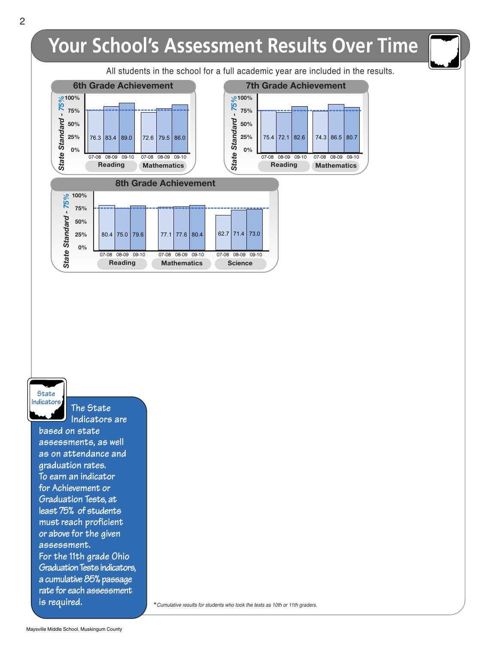

### **State Indicators**

**based on state assessments, as well as on attendance and graduation rates. To earn an indicator for Achievement or Graduation Tests, at least 75% of students must reach proficient or above for the given assessment. For the 11th grade Ohio Graduation Tests indicators, a cumulative 85% passage rate for each assessment is required.**

**The State Indicators are**

\*Cumulative results for students who took the tests as 10th or 11th graders.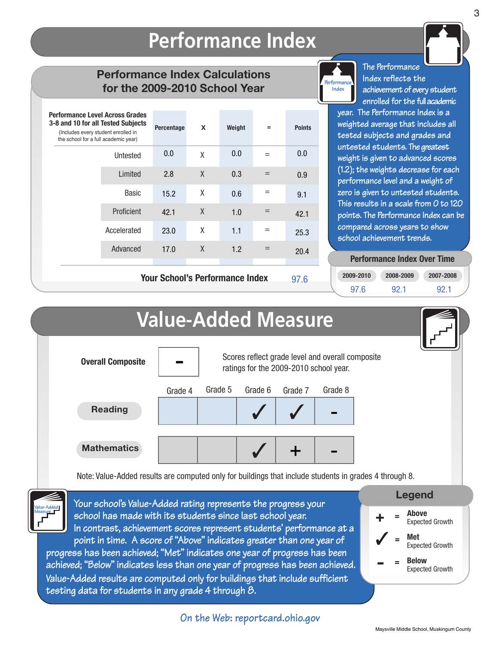# **Performance Index**

### **Performance Index Calculations for the 2009-2010 School Year**

| 0.0<br>Untested<br>2.8<br>Limited | X<br>X | 0.0<br>0.3 | $=$<br>$=$ | 0.0<br>0.9                             |
|-----------------------------------|--------|------------|------------|----------------------------------------|
|                                   |        |            |            |                                        |
|                                   |        |            |            |                                        |
| Basic<br>15.2                     | X      | 0.6        |            | 9.1                                    |
| Proficient<br>42.1                | X      | 1.0        | $=$        | 42.1                                   |
| Accelerated<br>23.0               | χ      | 1.1        | $=$        | 25.3                                   |
| Advanced<br>17.0                  | X      | 1.2        | $=$        | 20.4                                   |
|                                   |        |            |            | <b>Your School's Performance Index</b> |

**Your School's Performance Index**



**The Performance Index reflects the achievement of every student enrolled for the fullacademic**

**year. The Performance Index is a weighted average that includes all tested subjects and grades and untested students. The greatest weight is given to advanced scores (1.2); the weights decrease for each performance level and a weight of zero is given to untested students. This results in a scale from 0 to 120 points. The Performance Index can be compared across years to show school achievement trends.**

#### **Performance Index Over Time Performance Index Over Time**

| 2009-2010 | 2008-2009 | 2007-2008 |
|-----------|-----------|-----------|
| 97.6      | 921       | 92.1      |



## **On the Web: reportcard.ohio.gov On the Web: reportcard.ohio.gov**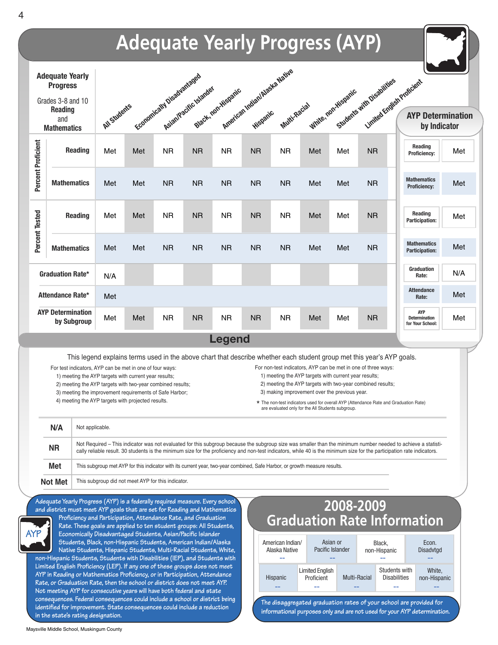

**in the state's rating designation.**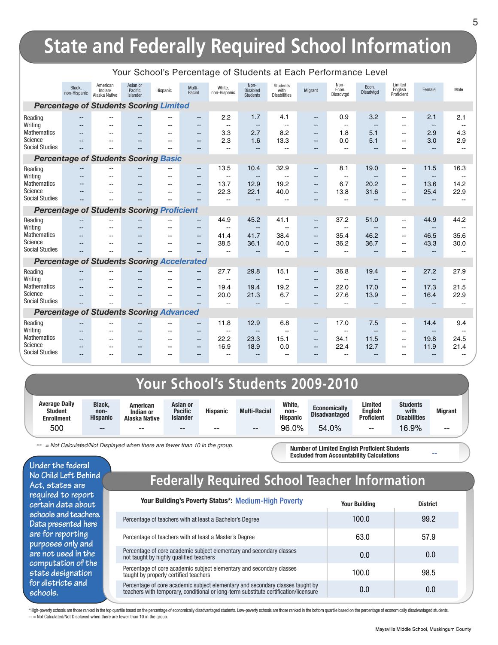# **State and Federally Required School Information**

|                                             |                                                   |                                      |                                 |                          |                     | J                        |                                     |                                                |                          |                            |                          |                                  |                          |                          |
|---------------------------------------------|---------------------------------------------------|--------------------------------------|---------------------------------|--------------------------|---------------------|--------------------------|-------------------------------------|------------------------------------------------|--------------------------|----------------------------|--------------------------|----------------------------------|--------------------------|--------------------------|
|                                             | Black.<br>non-Hispanic                            | American<br>Indian/<br>Alaska Native | Asian or<br>Pacific<br>Islander | Hispanic                 | Multi-<br>Racial    | White.<br>non-Hispanic   | Non-<br>Disabled<br><b>Students</b> | <b>Students</b><br>with<br><b>Disabilities</b> | Migrant                  | Non-<br>Econ.<br>Disadvtgd | Econ.<br>Disadvtgd       | Limited<br>English<br>Proficient | Female                   | Male                     |
|                                             | <b>Percentage of Students Scoring Limited</b>     |                                      |                                 |                          |                     |                          |                                     |                                                |                          |                            |                          |                                  |                          |                          |
| Reading                                     | $-$                                               | $\overline{\phantom{a}}$             | --                              | $\overline{\phantom{a}}$ | $\qquad \qquad -$   | 2.2                      | 1.7                                 | 4.1                                            | --                       | 0.9                        | 3.2                      | $\overline{\phantom{a}}$         | 2.1                      | 2.1                      |
| Writing                                     | --                                                |                                      |                                 |                          | --                  | $\overline{\phantom{a}}$ | $-$                                 |                                                | $- -$                    | $-$                        | $\overline{\phantom{a}}$ | $\overline{a}$                   | $\overline{\phantom{a}}$ | $\sim$                   |
| <b>Mathematics</b><br>Science               | $-$                                               | $-$                                  | --                              | $\sim$                   | $- -$               | 3.3                      | 2.7                                 | 8.2                                            | $- -$                    | 1.8                        | 5.1                      | --                               | 2.9                      | 4.3                      |
| <b>Social Studies</b>                       | $- -$                                             |                                      | --<br>--                        | --<br>$-$                | $- -$<br>$- -$      | 2.3<br>$\sim$            | 1.6<br>$-$                          | 13.3<br>--                                     | $- -$<br>--              | 0.0<br>$\overline{a}$      | 5.1<br>$-$               | $\overline{\phantom{a}}$<br>--   | 3.0<br>$\overline{a}$    | 2.9<br>$\mathbf{u}$      |
|                                             |                                                   |                                      |                                 |                          |                     |                          |                                     |                                                |                          |                            |                          |                                  |                          |                          |
| <b>Percentage of Students Scoring Basic</b> |                                                   |                                      |                                 |                          |                     |                          |                                     |                                                |                          |                            |                          |                                  |                          |                          |
| Reading                                     |                                                   | $-$                                  | --                              | --                       | $\frac{1}{2}$       | 13.5                     | 10.4                                | 32.9                                           | $\overline{\phantom{a}}$ | 8.1                        | 19.0                     | $\overline{\phantom{a}}$         | 11.5                     | 16.3                     |
| Writing                                     | --                                                | $-$                                  | --                              | --                       | $\qquad \qquad -$   | $\overline{a}$           | $\qquad \qquad -$                   | --                                             | $- -$                    | $\overline{\phantom{a}}$   |                          | --                               | --                       | $\sim$ $\sim$            |
| <b>Mathematics</b><br>Science               | --                                                | $\overline{\phantom{a}}$             | $\overline{\phantom{a}}$        | $\sim$                   | $\frac{1}{2}$       | 13.7                     | 12.9                                | 19.2                                           | $\overline{\phantom{a}}$ | 6.7                        | 20.2                     | $\overline{\phantom{a}}$         | 13.6                     | 14.2                     |
| <b>Social Studies</b>                       | --                                                | --                                   | --                              | --                       | $\frac{1}{2}$<br>-- | 22.3                     | 22.1<br>$-$                         | 40.0                                           | $- -$<br>--              | 13.8<br>$\overline{a}$     | 31.6                     | $\overline{\phantom{a}}$<br>--   | 25.4<br>٠.               | 22.9                     |
|                                             |                                                   |                                      |                                 |                          |                     |                          |                                     |                                                |                          |                            |                          |                                  |                          |                          |
|                                             | <b>Percentage of Students Scoring Proficient</b>  |                                      |                                 |                          |                     |                          |                                     |                                                |                          |                            |                          |                                  |                          |                          |
| Reading                                     |                                                   |                                      |                                 | --                       | --                  | 44.9                     | 45.2                                | 41.1                                           | --                       | 37.2                       | 51.0                     | $\overline{\phantom{a}}$         | 44.9                     | 44.2                     |
| Writing                                     | $-$                                               | $-$                                  | --                              | $-$                      | $- -$               | $\sim$                   | $\qquad \qquad -$                   | $-$                                            | $- -$                    | $\overline{a}$             | $\overline{\phantom{a}}$ | $\overline{a}$                   | $\overline{\phantom{a}}$ | $\mathbf{u}$             |
| <b>Mathematics</b><br>Science               | $\sim$                                            | $-$                                  | --                              | $\sim$                   | $\frac{1}{2}$       | 41.4                     | 41.7                                | 38.4                                           | $--$                     | 35.4                       | 46.2                     | $\overline{\phantom{a}}$         | 46.5                     | 35.6                     |
| <b>Social Studies</b>                       | $- -$                                             |                                      | --                              | $-$                      | $\qquad \qquad -$   | 38.5                     | 36.1                                | 40.0                                           | $\qquad \qquad -$        | 36.2                       | 36.7                     | $\overline{\phantom{a}}$         | 43.3                     | 30.0                     |
|                                             |                                                   |                                      | --                              | $-$                      | --                  | $-$                      |                                     | $-$                                            | $- -$                    | $\overline{\phantom{a}}$   |                          | $\overline{\phantom{a}}$         | --                       | $-$                      |
|                                             | <b>Percentage of Students Scoring Accelerated</b> |                                      |                                 |                          |                     |                          |                                     |                                                |                          |                            |                          |                                  |                          |                          |
| Reading                                     |                                                   |                                      |                                 |                          | --                  | 27.7                     | 29.8                                | 15.1                                           | --                       | 36.8                       | 19.4                     | $\overline{\phantom{a}}$         | 27.2                     | 27.9                     |
| Writing                                     | --                                                | $- -$                                | --                              | --                       | $- -$               | $\sim$                   | $\overline{\phantom{a}}$            | $\overline{\phantom{a}}$                       | $- -$                    | $\overline{\phantom{a}}$   | $\overline{\phantom{a}}$ | $\overline{\phantom{a}}$         | $-$                      | $\overline{\phantom{a}}$ |
| <b>Mathematics</b><br>Science               | $- -$                                             |                                      | $\sim$                          | --                       | $-$                 | 19.4                     | 19.4                                | 19.2                                           | $-$                      | 22.0                       | 17.0                     | $\overline{\phantom{a}}$         | 17.3                     | 21.5                     |
| <b>Social Studies</b>                       | $-$                                               |                                      | $\sim$<br>--                    | --                       | $-$<br>--           | 20.0<br>$\sim$           | 21.3<br>$\overline{a}$              | 6.7<br>۵.                                      | $-$<br>$-$               | 27.6<br>$\overline{a}$     | 13.9<br>$-$              | $\sim$<br>$\sim$                 | 16.4<br>н.               | 22.9<br>$\sim$           |
|                                             |                                                   |                                      |                                 |                          |                     |                          |                                     |                                                |                          |                            |                          |                                  |                          |                          |
|                                             | <b>Percentage of Students Scoring Advanced</b>    |                                      |                                 |                          |                     |                          |                                     |                                                |                          |                            |                          |                                  |                          |                          |
| Reading                                     | --                                                | $- -$                                | --                              | $-$                      | $\qquad \qquad -$   | 11.8                     | 12.9                                | 6.8                                            | $\overline{\phantom{a}}$ | 17.0                       | 7.5                      | $\overline{\phantom{a}}$         | 14.4                     | 9.4                      |
| Writing                                     | $\qquad \qquad -$                                 | $-$                                  | --                              | $-$                      | $\qquad \qquad -$   | $\overline{\phantom{a}}$ | $\qquad \qquad -$                   | $-$                                            | $\qquad \qquad -$        | $\overline{a}$             | $- -$                    | $\overline{\phantom{a}}$         | --                       | $\overline{\phantom{a}}$ |
| <b>Mathematics</b><br>Science               | --                                                | $\overline{a}$                       | --                              | $-$                      | $\qquad \qquad -$   | 22.2                     | 23.3                                | 15.1                                           | --                       | 34.1                       | 11.5                     | $\overline{\phantom{a}}$         | 19.8                     | 24.5                     |
| <b>Social Studies</b>                       | $- -$                                             | $- -$                                | --                              | $\overline{\phantom{a}}$ | $\qquad \qquad -$   | 16.9                     | 18.9                                | 0.0                                            | $- -$                    | 22.4                       | 12.7                     | $\overline{\phantom{a}}$         | 11.9                     | 21.4                     |
|                                             | --                                                | $- -$                                | --                              | $- -$                    | $\qquad \qquad -$   | $\qquad \qquad -$        | $-$                                 | $\overline{\phantom{a}}$                       | --                       | $-$                        |                          | --                               | $-$                      | --                       |

#### Your School's Percentage of Students at Each Performance Level

## **Your School's Students 2009-2010**

| <b>Average Daily</b><br><b>Student</b><br><b>Enrollment</b> | <b>Black.</b><br>non-<br><b>Hispanic</b> | American<br>Indian or<br>Alaska Native | Asian or<br><b>Pacific</b><br><b>Islander</b> | <b>Hispanic</b> | <b>Multi-Racial</b> | White,<br>non-<br><b>Hispanic</b> | <b>Economically</b><br><b>Disadvantaged</b> | Limited<br><b>English</b><br><b>Proficient</b> | <b>Students</b><br>with<br><b>Disabilities</b> | <b>Migrant</b> |
|-------------------------------------------------------------|------------------------------------------|----------------------------------------|-----------------------------------------------|-----------------|---------------------|-----------------------------------|---------------------------------------------|------------------------------------------------|------------------------------------------------|----------------|
| 500                                                         | $-$                                      | $- -$                                  | $\hspace{0.05cm}$                             | $- -$           | $- -$               | 96.0%                             | 54.0%                                       | $- -$                                          | 16.9%                                          | $- -$          |

*-- = Not Calculated/Not Displayed when there are fewer than 10 in the group.*

**Number of Limited English Proficient Students Excluded from Accountability Calculations**

**Under the federal No Child Left Behind Act, states are required to report certain data about schools and teachers. Data presented here are for reporting purposes only and are not used in the computation of the state designation for districts and schools.**

### **Federally Required School Teacher Information**

| <b>Your Building's Poverty Status*: Medium-High Poverty</b>                                                                                                            | <b>Your Building</b> | <b>District</b> |
|------------------------------------------------------------------------------------------------------------------------------------------------------------------------|----------------------|-----------------|
| Percentage of teachers with at least a Bachelor's Degree                                                                                                               | 100.0                | 99.2            |
| Percentage of teachers with at least a Master's Degree                                                                                                                 | 63.0                 | 57.9            |
| Percentage of core academic subject elementary and secondary classes<br>not taught by highly qualified teachers                                                        | 0.0                  | 0.0             |
| Percentage of core academic subject elementary and secondary classes<br>taught by properly certified teachers                                                          | 100.0                | 98.5            |
| Percentage of core academic subject elementary and secondary classes taught by<br>teachers with temporary, conditional or long-term substitute certification/licensure | 0.0                  | 0.0             |

\*High-poverty schools are those ranked in the top quartile based on the percentage of economically disadvantaged students. Low-poverty schools are those ranked in the bottom quartile based on the percentage of economically -- = Not Calculated/Not Displayed when there are fewer than 10 in the group.

**--**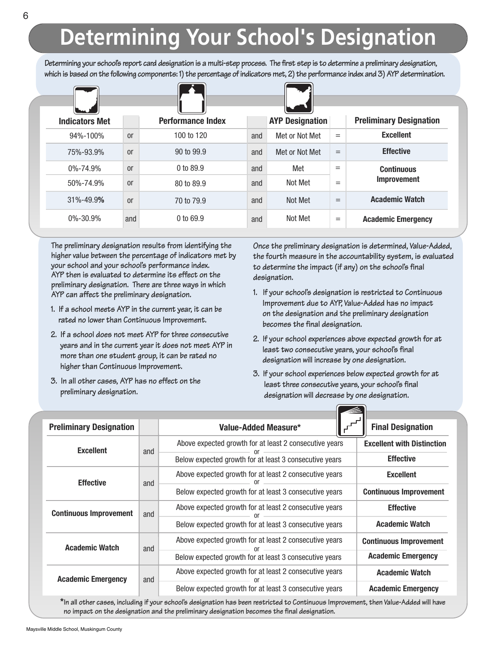# **Determining Your School's Designation**

Determining your school's report card designation is a multi-step process. The first step is to determine a preliminary designation, which is based on the following components: 1) the percentage of indicators met, 2) the performance index and 3) AYP determination.

| <b>Indicators Met</b> |               | <b>Performance Index</b> |     | <b>AYP Designation</b> |     | <b>Preliminary Designation</b> |
|-----------------------|---------------|--------------------------|-----|------------------------|-----|--------------------------------|
| 94%-100%              | <sub>or</sub> | 100 to 120               | and | Met or Not Met         | $=$ | <b>Excellent</b>               |
| 75%-93.9%             | <sub>or</sub> | 90 to 99.9               | and | Met or Not Met         | $=$ | <b>Effective</b>               |
| $0\% - 74.9\%$        | <sub>or</sub> | 0 to 89.9                | and | Met                    | $=$ | <b>Continuous</b>              |
| 50%-74.9%             | <sub>or</sub> | 80 to 89.9               | and | Not Met                | $=$ | <b>Improvement</b>             |
| 31%-49.9%             | <sub>or</sub> | 70 to 79.9               | and | Not Met                | $=$ | <b>Academic Watch</b>          |
| $0\% - 30.9\%$        | and           | $0$ to 69.9              | and | Not Met                | $=$ | <b>Academic Emergency</b>      |

**The preliminary designation results from identifying the higher value between the percentage of indicators met by your school and your school's performance index. AYP then is evaluated to determine its effect on the preliminary designation. There are three ways in which AYP can affect the preliminary designation.**

- **1. If a school meets AYP in the current year, it can be rated no lower than Continuous Improvement.**
- **2. If a school does not meet AYP for three consecutive years and in the current year it does not meet AYP in more than one student group, it can be rated no higher than Continuous Improvement.**
- **3. In all other cases, AYP has no effect on the preliminary designation.**

**Once the preliminary designation is determined, Value-Added, the fourth measure in the accountability system, is evaluated to determine the impact (if any) on the school's final designation.**

- **1. If your school's designation is restricted to Continuous Improvement due to AYP, Value-Added has no impact on the designation and the preliminary designation becomes the final designation.**
- **2. If your school experiences above expected growth for at least two consecutive years, your school's final designation will increase by one designation.**
- **3. If your school experiences below expected growth for at least three consecutive years, your school's final designation will decrease by one designation.**

 $\sqrt{2}$ 

| <b>Preliminary Designation</b> |     | Value-Added Measure*                                   | <b>Final Designation</b>          |  |  |
|--------------------------------|-----|--------------------------------------------------------|-----------------------------------|--|--|
| <b>Excellent</b>               | and | Above expected growth for at least 2 consecutive years | <b>Excellent with Distinction</b> |  |  |
|                                |     | Below expected growth for at least 3 consecutive years | <b>Effective</b>                  |  |  |
| <b>Effective</b>               | and | Above expected growth for at least 2 consecutive years | <b>Excellent</b>                  |  |  |
|                                |     | Below expected growth for at least 3 consecutive years | <b>Continuous Improvement</b>     |  |  |
| <b>Continuous Improvement</b>  | and | Above expected growth for at least 2 consecutive years | <b>Effective</b>                  |  |  |
|                                |     | Below expected growth for at least 3 consecutive years | <b>Academic Watch</b>             |  |  |
| <b>Academic Watch</b>          | and | Above expected growth for at least 2 consecutive years | <b>Continuous Improvement</b>     |  |  |
|                                |     | Below expected growth for at least 3 consecutive years | <b>Academic Emergency</b>         |  |  |
| <b>Academic Emergency</b>      | and | Above expected growth for at least 2 consecutive years | <b>Academic Watch</b>             |  |  |
|                                |     | Below expected growth for at least 3 consecutive years | <b>Academic Emergency</b>         |  |  |

\*In all other cases, including if your school's designation has been restricted to Continuous Improvement, then Value-Added will have **no impact on the designation and the preliminary designation becomes the final designation.**